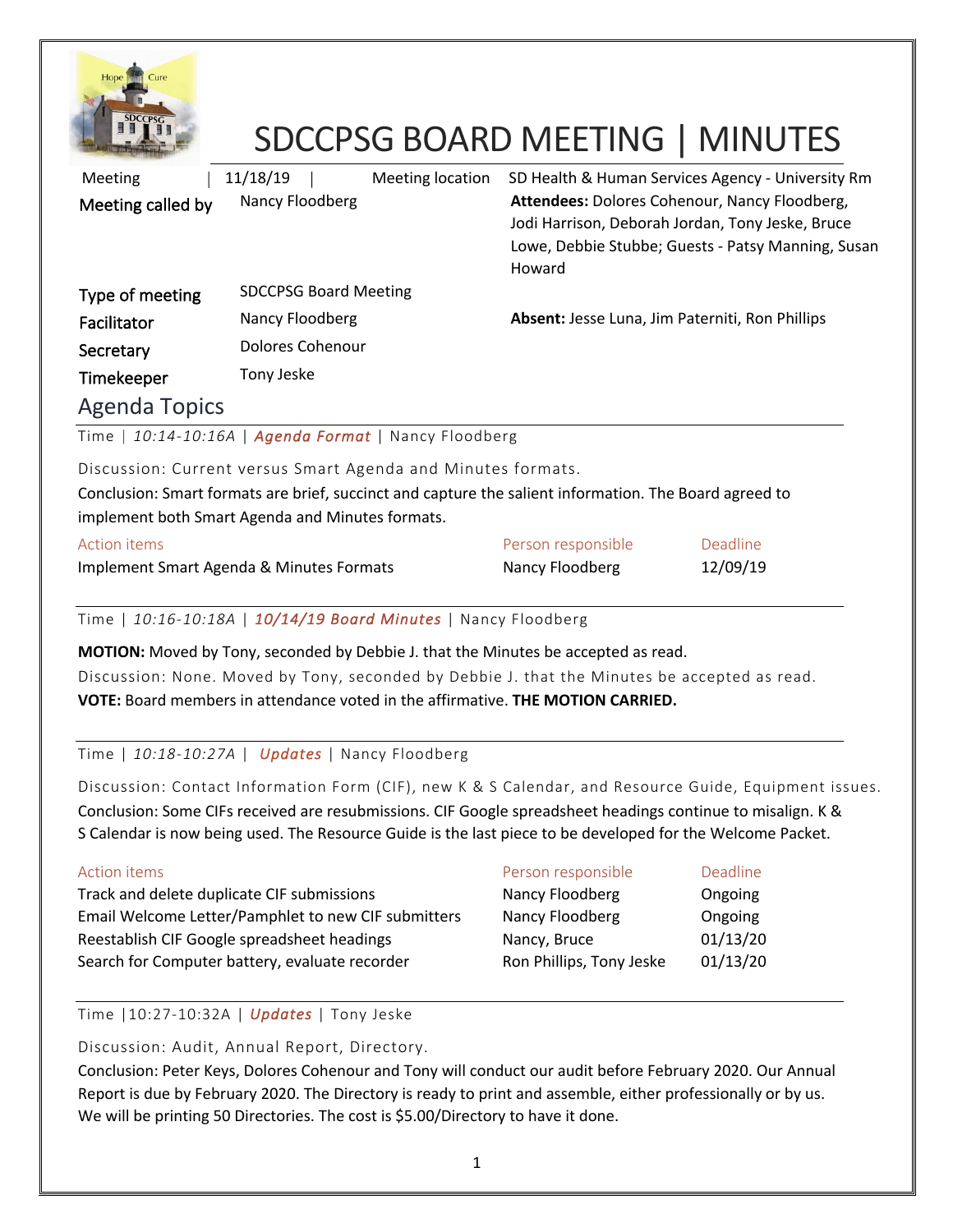

# SDCCPSG BOARD MEETING | MINUTES

| <b>Meeting</b>                                                 | 11/18/19                     | Meeting location | SD Health & Human Services Agency - University Rm                                                           |                                                    |
|----------------------------------------------------------------|------------------------------|------------------|-------------------------------------------------------------------------------------------------------------|----------------------------------------------------|
| Meeting called by                                              | Nancy Floodberg              |                  | Attendees: Dolores Cohenour, Nancy Floodberg,<br>Jodi Harrison, Deborah Jordan, Tony Jeske, Bruce<br>Howard | Lowe, Debbie Stubbe; Guests - Patsy Manning, Susan |
| Type of meeting                                                | <b>SDCCPSG Board Meeting</b> |                  |                                                                                                             |                                                    |
| Facilitator                                                    | Nancy Floodberg              |                  | Absent: Jesse Luna, Jim Paterniti, Ron Phillips                                                             |                                                    |
| Secretary                                                      | <b>Dolores Cohenour</b>      |                  |                                                                                                             |                                                    |
| Timekeeper                                                     | Tony Jeske                   |                  |                                                                                                             |                                                    |
| <b>Agenda Topics</b>                                           |                              |                  |                                                                                                             |                                                    |
| Time   10:14-10:16A   Agenda Format   Nancy Floodberg          |                              |                  |                                                                                                             |                                                    |
| Discussion: Current versus Smart Agenda and Minutes formats.   |                              |                  |                                                                                                             |                                                    |
|                                                                |                              |                  | Conclusion: Smart formats are brief, succinct and capture the salient information. The Board agreed to      |                                                    |
| implement both Smart Agenda and Minutes formats.               |                              |                  |                                                                                                             |                                                    |
| <b>Action items</b>                                            |                              |                  | Person responsible                                                                                          | Deadline                                           |
| Implement Smart Agenda & Minutes Formats                       |                              |                  | Nancy Floodberg                                                                                             | 12/09/19                                           |
| Time   10:16-10:18A   10/14/19 Board Minutes   Nancy Floodberg |                              |                  |                                                                                                             |                                                    |
|                                                                |                              |                  | MOTION: Moved by Tony, seconded by Debbie J. that the Minutes be accepted as read.                          |                                                    |

Discussion: None. Moved by Tony, seconded by Debbie J. that the Minutes be accepted as read. **VOTE:** Board members in attendance voted in the affirmative. **THE MOTION CARRIED.**

# Time | *10:18-10:27A* | *Updates* | Nancy Floodberg

Discussion: Contact Information Form (CIF), new K & S Calendar, and Resource Guide, Equipment issues. Conclusion: Some CIFs received are resubmissions. CIF Google spreadsheet headings continue to misalign. K & S Calendar is now being used. The Resource Guide is the last piece to be developed for the Welcome Packet.

# Action items **Person responsible** Deadline Track and delete duplicate CIF submissions Nancy Floodberg Congoing Email Welcome Letter/Pamphlet to new CIF submitters Mancy Floodberg Congoing Reestablish CIF Google spreadsheet headings Nancy, Bruce 01/13/20 Search for Computer battery, evaluate recorder Ron Phillips, Tony Jeske 01/13/20

Time |10:27-10:32A | *Updates* | Tony Jeske

Discussion: Audit, Annual Report, Directory.

Conclusion: Peter Keys, Dolores Cohenour and Tony will conduct our audit before February 2020. Our Annual Report is due by February 2020. The Directory is ready to print and assemble, either professionally or by us. We will be printing 50 Directories. The cost is \$5.00/Directory to have it done.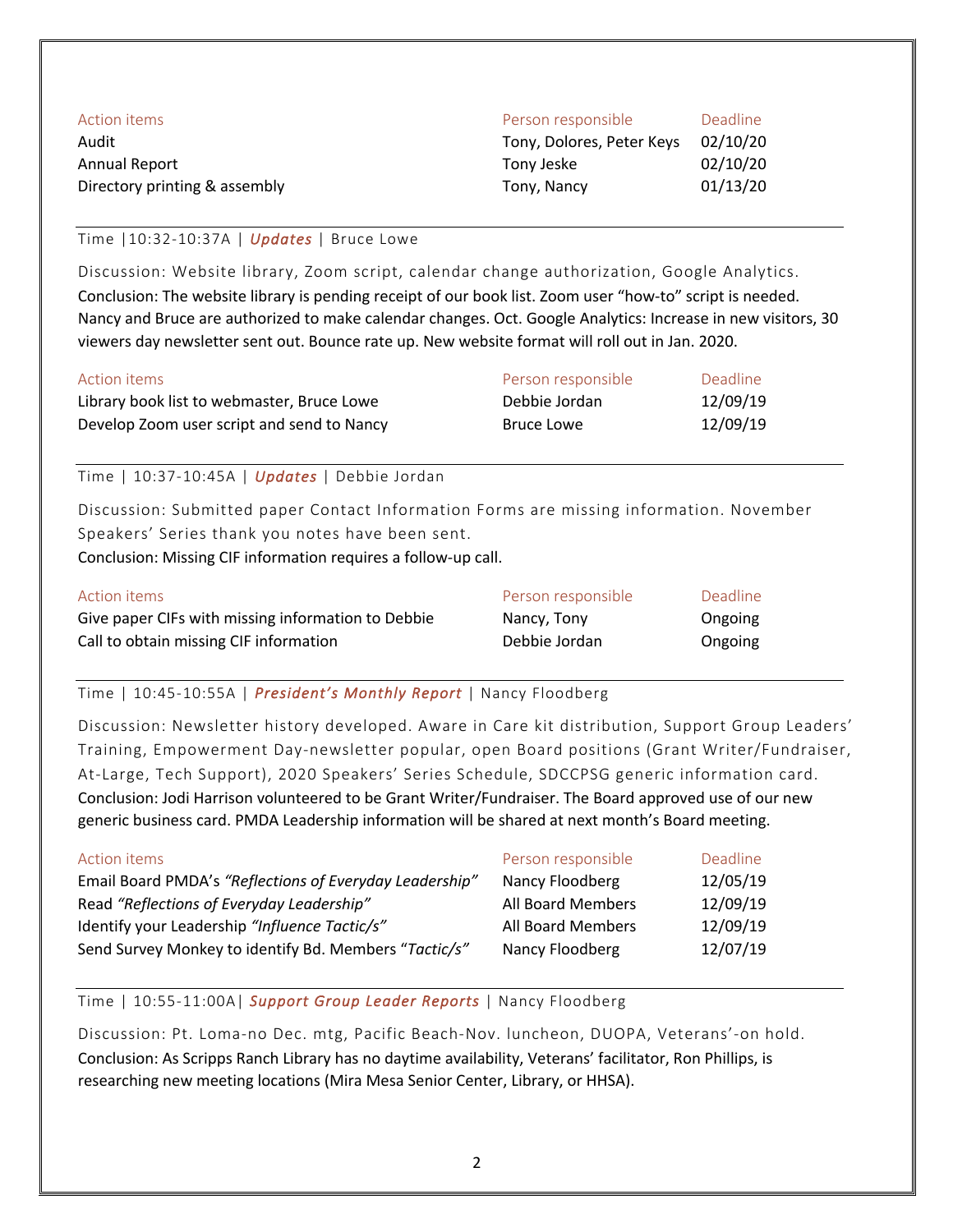| Action items                  | Person responsible        | <b>Deadline</b> |
|-------------------------------|---------------------------|-----------------|
| Audit                         | Tony, Dolores, Peter Keys | 02/10/20        |
| Annual Report                 | Tony Jeske                | 02/10/20        |
| Directory printing & assembly | Tony, Nancy               | 01/13/20        |

### Time |10:32-10:37A | *Updates* | Bruce Lowe

Discussion: Website library, Zoom script, calendar change authorization, Google Analytics. Conclusion: The website library is pending receipt of our book list. Zoom user "how-to" script is needed. Nancy and Bruce are authorized to make calendar changes. Oct. Google Analytics: Increase in new visitors, 30 viewers day newsletter sent out. Bounce rate up. New website format will roll out in Jan. 2020.

| Action items                               | Person responsible | Deadline |
|--------------------------------------------|--------------------|----------|
| Library book list to webmaster, Bruce Lowe | Debbie Jordan      | 12/09/19 |
| Develop Zoom user script and send to Nancy | Bruce Lowe         | 12/09/19 |

Time | 10:37-10:45A | *Updates* | Debbie Jordan

Discussion: Submitted paper Contact Information Forms are missing information. November Speakers' Series thank you notes have been sent.

Conclusion: Missing CIF information requires a follow-up call.

| Action items                                       | Person responsible | Deadline |
|----------------------------------------------------|--------------------|----------|
| Give paper CIFs with missing information to Debbie | Nancy, Tony        | Ongoing  |
| Call to obtain missing CIF information             | Debbie Jordan      | Ongoing  |

## Time | 10:45-10:55A | *President's Monthly Report* | Nancy Floodberg

Discussion: Newsletter history developed. Aware in Care kit distribution, Support Group Leaders' Training, Empowerment Day-newsletter popular, open Board positions (Grant Writer/Fundraiser, At-Large, Tech Support), 2020 Speakers' Series Schedule, SDCCPSG generic information card. Conclusion: Jodi Harrison volunteered to be Grant Writer/Fundraiser. The Board approved use of our new generic business card. PMDA Leadership information will be shared at next month's Board meeting.

| Action items                                            | Person responsible | Deadline |
|---------------------------------------------------------|--------------------|----------|
| Email Board PMDA's "Reflections of Everyday Leadership" | Nancy Floodberg    | 12/05/19 |
| Read "Reflections of Everyday Leadership"               | All Board Members  | 12/09/19 |
| Identify your Leadership "Influence Tactic/s"           | All Board Members  | 12/09/19 |
| Send Survey Monkey to identify Bd. Members "Tactic/s"   | Nancy Floodberg    | 12/07/19 |

### Time | 10:55-11:00A| *Support Group Leader Reports* | Nancy Floodberg

Discussion: Pt. Loma-no Dec. mtg, Pacific Beach-Nov. luncheon, DUOPA, Veterans'-on hold. Conclusion: As Scripps Ranch Library has no daytime availability, Veterans' facilitator, Ron Phillips, is researching new meeting locations (Mira Mesa Senior Center, Library, or HHSA).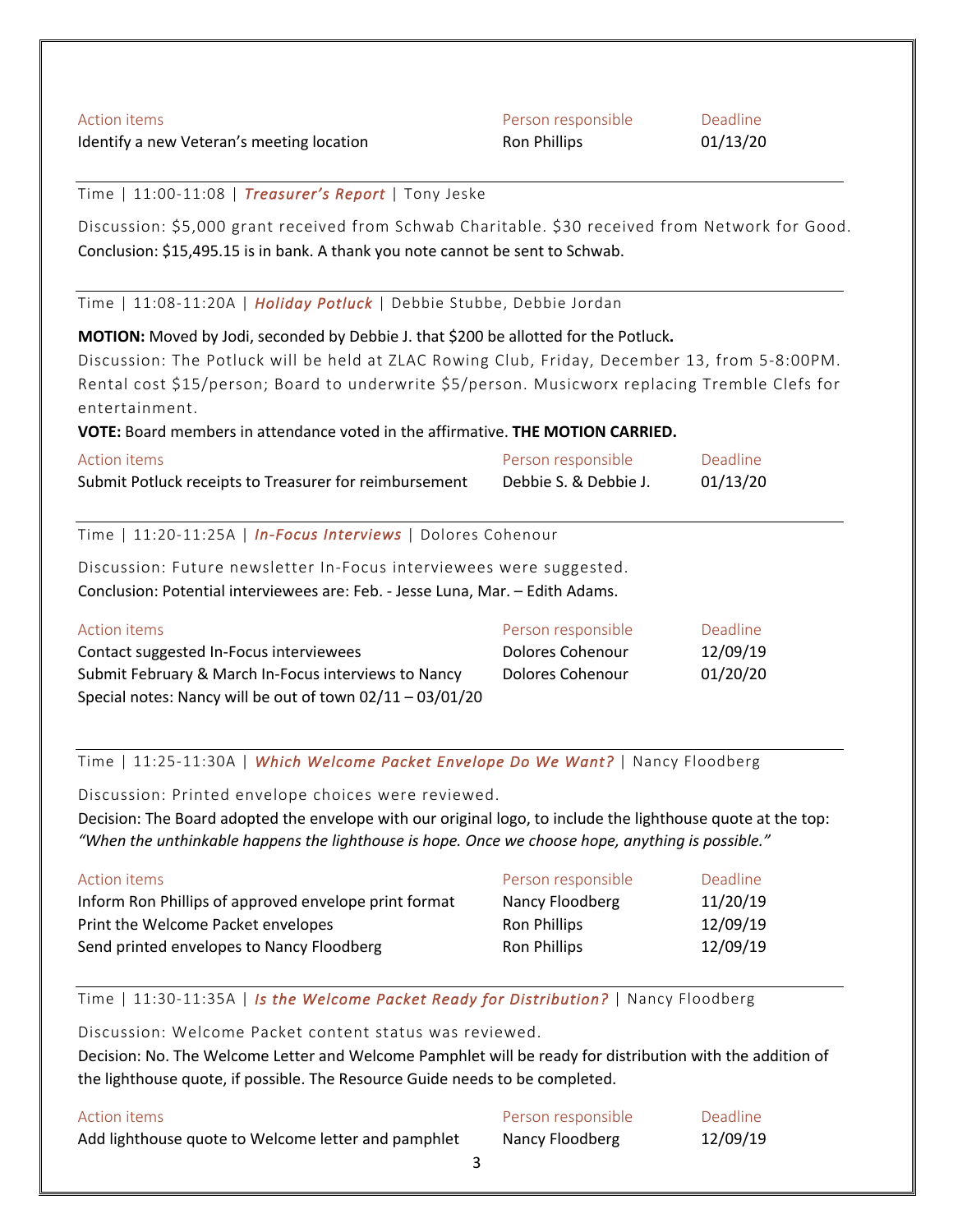| <b>Action items</b>                                                                             | Person responsible      | Deadline |
|-------------------------------------------------------------------------------------------------|-------------------------|----------|
| Identify a new Veteran's meeting location                                                       | Ron Phillips            | 01/13/20 |
| Time   11:00-11:08   Treasurer's Report   Tony Jeske                                            |                         |          |
| Discussion: \$5,000 grant received from Schwab Charitable. \$30 received from Network for Good. |                         |          |
| Conclusion: \$15,495.15 is in bank. A thank you note cannot be sent to Schwab.                  |                         |          |
| Time   11:08-11:20A   Holiday Potluck   Debbie Stubbe, Debbie Jordan                            |                         |          |
| MOTION: Moved by Jodi, seconded by Debbie J. that \$200 be allotted for the Potluck.            |                         |          |
| Discussion: The Potluck will be held at ZLAC Rowing Club, Friday, December 13, from 5-8:00PM.   |                         |          |
| Rental cost \$15/person; Board to underwrite \$5/person. Musicworx replacing Tremble Clefs for  |                         |          |
| entertainment.                                                                                  |                         |          |
| VOTE: Board members in attendance voted in the affirmative. THE MOTION CARRIED.                 |                         |          |
| <b>Action items</b>                                                                             | Person responsible      | Deadline |
| Submit Potluck receipts to Treasurer for reimbursement                                          | Debbie S. & Debbie J.   | 01/13/20 |
| Time   11:20-11:25A   In-Focus Interviews   Dolores Cohenour                                    |                         |          |
| Discussion: Future newsletter In-Focus interviewees were suggested.                             |                         |          |
| Conclusion: Potential interviewees are: Feb. - Jesse Luna, Mar. - Edith Adams.                  |                         |          |
| <b>Action items</b>                                                                             | Person responsible      | Deadline |
| Contact suggested In-Focus interviewees                                                         | <b>Dolores Cohenour</b> | 12/09/19 |
| Submit February & March In-Focus interviews to Nancy                                            | Dolores Cohenour        | 01/20/20 |

Time | 11:25-11:30A | *Which Welcome Packet Envelope Do We Want?* | Nancy Floodberg

Discussion: Printed envelope choices were reviewed.

Special notes: Nancy will be out of town 02/11 – 03/01/20

Decision: The Board adopted the envelope with our original logo, to include the lighthouse quote at the top: *"When the unthinkable happens the lighthouse is hope. Once we choose hope, anything is possible."*

| Action items                                          | Person responsible  | Deadline |
|-------------------------------------------------------|---------------------|----------|
| Inform Ron Phillips of approved envelope print format | Nancy Floodberg     | 11/20/19 |
| Print the Welcome Packet envelopes                    | <b>Ron Phillips</b> | 12/09/19 |
| Send printed envelopes to Nancy Floodberg             | Ron Phillips        | 12/09/19 |

Time | 11:30-11:35A | *Is the Welcome Packet Ready for Distribution?* | Nancy Floodberg

Discussion: Welcome Packet content status was reviewed.

Decision: No. The Welcome Letter and Welcome Pamphlet will be ready for distribution with the addition of the lighthouse quote, if possible. The Resource Guide needs to be completed.

| Action items                                        | Person responsible | Deadline |
|-----------------------------------------------------|--------------------|----------|
| Add lighthouse quote to Welcome letter and pamphlet | Nancy Floodberg    | 12/09/19 |